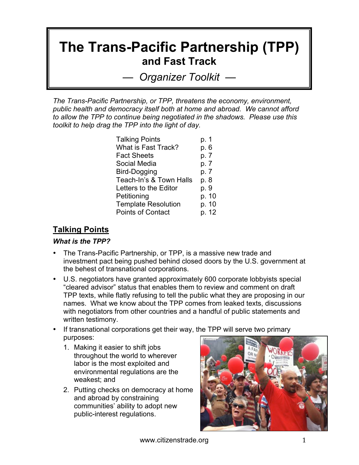# **The Trans-Pacific Partnership (TPP) and Fast Track**

*— Organizer Toolkit —*

*The Trans-Pacific Partnership, or TPP, threatens the economy, environment, public health and democracy itself both at home and abroad. We cannot afford to allow the TPP to continue being negotiated in the shadows. Please use this toolkit to help drag the TPP into the light of day.*

| <b>Talking Points</b>      | p. 1  |
|----------------------------|-------|
| <b>What is Fast Track?</b> | p. 6  |
| <b>Fact Sheets</b>         | p. 7  |
| Social Media               | p. 7  |
| Bird-Dogging               | p. 7  |
| Teach-In's & Town Halls    | p. 8  |
| Letters to the Editor      | p. 9  |
| Petitioning                | p. 10 |
| <b>Template Resolution</b> | p. 10 |
| <b>Points of Contact</b>   | p. 12 |

### **Talking Points**

#### *What is the TPP?*

- The Trans-Pacific Partnership, or TPP, is a massive new trade and investment pact being pushed behind closed doors by the U.S. government at the behest of transnational corporations.
- U.S. negotiators have granted approximately 600 corporate lobbyists special "cleared advisor" status that enables them to review and comment on draft TPP texts, while flatly refusing to tell the public what they are proposing in our names. What we know about the TPP comes from leaked texts, discussions with negotiators from other countries and a handful of public statements and written testimony.
- If transnational corporations get their way, the TPP will serve two primary purposes:
	- 1. Making it easier to shift jobs throughout the world to wherever labor is the most exploited and environmental regulations are the weakest; and
	- 2. Putting checks on democracy at home and abroad by constraining communities' ability to adopt new public-interest regulations.

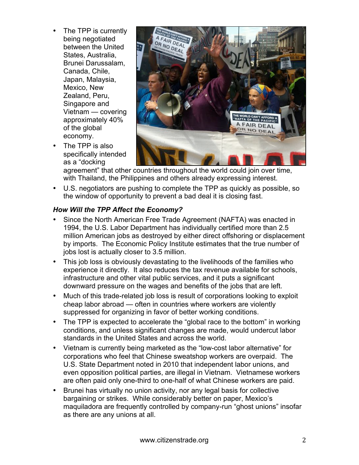- The TPP is currently being negotiated between the United States, Australia, Brunei Darussalam, Canada, Chile, Japan, Malaysia, Mexico, New Zealand, Peru, Singapore and Vietnam — covering approximately 40% of the global economy.
- The TPP is also specifically intended as a "docking



agreement" that other countries throughout the world could join over time, with Thailand, the Philippines and others already expressing interest.

• U.S. negotiators are pushing to complete the TPP as quickly as possible, so the window of opportunity to prevent a bad deal it is closing fast.

#### *How Will the TPP Affect the Economy?*

- Since the North American Free Trade Agreement (NAFTA) was enacted in 1994, the U.S. Labor Department has individually certified more than 2.5 million American jobs as destroyed by either direct offshoring or displacement by imports. The Economic Policy Institute estimates that the true number of jobs lost is actually closer to 3.5 million.
- This job loss is obviously devastating to the livelihoods of the families who experience it directly. It also reduces the tax revenue available for schools, infrastructure and other vital public services, and it puts a significant downward pressure on the wages and benefits of the jobs that are left.
- Much of this trade-related job loss is result of corporations looking to exploit cheap labor abroad — often in countries where workers are violently suppressed for organizing in favor of better working conditions.
- The TPP is expected to accelerate the "global race to the bottom" in working conditions, and unless significant changes are made, would undercut labor standards in the United States and across the world.
- Vietnam is currently being marketed as the "low-cost labor alternative" for corporations who feel that Chinese sweatshop workers are overpaid. The U.S. State Department noted in 2010 that independent labor unions, and even opposition political parties, are illegal in Vietnam. Vietnamese workers are often paid only one-third to one-half of what Chinese workers are paid.
- Brunei has virtually no union activity, nor any legal basis for collective bargaining or strikes. While considerably better on paper, Mexico's maquiladora are frequently controlled by company-run "ghost unions" insofar as there are any unions at all.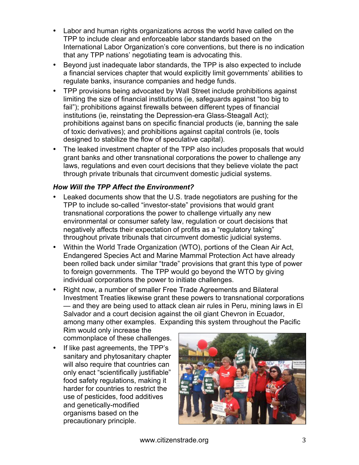- Labor and human rights organizations across the world have called on the TPP to include clear and enforceable labor standards based on the International Labor Organization's core conventions, but there is no indication that any TPP nations' negotiating team is advocating this.
- Beyond just inadequate labor standards, the TPP is also expected to include a financial services chapter that would explicitly limit governments' abilities to regulate banks, insurance companies and hedge funds.
- TPP provisions being advocated by Wall Street include prohibitions against limiting the size of financial institutions (ie, safeguards against "too big to fail"); prohibitions against firewalls between different types of financial institutions (ie, reinstating the Depression-era Glass-Steagall Act); prohibitions against bans on specific financial products (ie, banning the sale of toxic derivatives); and prohibitions against capital controls (ie, tools designed to stabilize the flow of speculative capital).
- The leaked investment chapter of the TPP also includes proposals that would grant banks and other transnational corporations the power to challenge any laws, regulations and even court decisions that they believe violate the pact through private tribunals that circumvent domestic judicial systems.

#### *How Will the TPP Affect the Environment?*

- Leaked documents show that the U.S. trade negotiators are pushing for the TPP to include so-called "investor-state" provisions that would grant transnational corporations the power to challenge virtually any new environmental or consumer safety law, regulation or court decisions that negatively affects their expectation of profits as a "regulatory taking" throughout private tribunals that circumvent domestic judicial systems.
- Within the World Trade Organization (WTO), portions of the Clean Air Act, Endangered Species Act and Marine Mammal Protection Act have already been rolled back under similar "trade" provisions that grant this type of power to foreign governments. The TPP would go beyond the WTO by giving individual corporations the power to initiate challenges.
- Right now, a number of smaller Free Trade Agreements and Bilateral Investment Treaties likewise grant these powers to transnational corporations — and they are being used to attack clean air rules in Peru, mining laws in El Salvador and a court decision against the oil giant Chevron in Ecuador, among many other examples. Expanding this system throughout the Pacific

Rim would only increase the commonplace of these challenges.

If like past agreements, the TPP's sanitary and phytosanitary chapter will also require that countries can only enact "scientifically justifiable" food safety regulations, making it harder for countries to restrict the use of pesticides, food additives and genetically-modified organisms based on the precautionary principle.

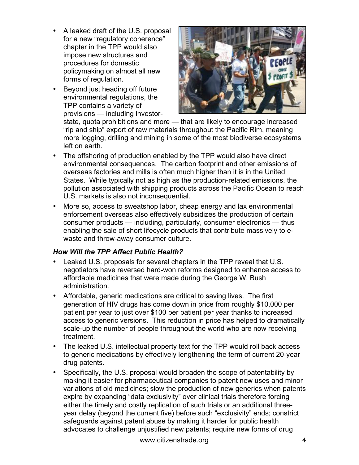- A leaked draft of the U.S. proposal for a new "regulatory coherence" chapter in the TPP would also impose new structures and procedures for domestic policymaking on almost all new forms of regulation.
- Beyond just heading off future environmental regulations, the TPP contains a variety of provisions — including investor-



state, quota prohibitions and more — that are likely to encourage increased "rip and ship" export of raw materials throughout the Pacific Rim, meaning more logging, drilling and mining in some of the most biodiverse ecosystems left on earth.

- The offshoring of production enabled by the TPP would also have direct environmental consequences. The carbon footprint and other emissions of overseas factories and mills is often much higher than it is in the United States. While typically not as high as the production-related emissions, the pollution associated with shipping products across the Pacific Ocean to reach U.S. markets is also not inconsequential.
- More so, access to sweatshop labor, cheap energy and lax environmental enforcement overseas also effectively subsidizes the production of certain consumer products — including, particularly, consumer electronics — thus enabling the sale of short lifecycle products that contribute massively to ewaste and throw-away consumer culture.

#### *How Will the TPP Affect Public Health?*

- Leaked U.S. proposals for several chapters in the TPP reveal that U.S. negotiators have reversed hard-won reforms designed to enhance access to affordable medicines that were made during the George W. Bush administration.
- Affordable, generic medications are critical to saving lives. The first generation of HIV drugs has come down in price from roughly \$10,000 per patient per year to just over \$100 per patient per year thanks to increased access to generic versions. This reduction in price has helped to dramatically scale-up the number of people throughout the world who are now receiving treatment.
- The leaked U.S. intellectual property text for the TPP would roll back access to generic medications by effectively lengthening the term of current 20-year drug patents.
- Specifically, the U.S. proposal would broaden the scope of patentability by making it easier for pharmaceutical companies to patent new uses and minor variations of old medicines; slow the production of new generics when patents expire by expanding "data exclusivity" over clinical trials therefore forcing either the timely and costly replication of such trials or an additional threeyear delay (beyond the current five) before such "exclusivity" ends; constrict safeguards against patent abuse by making it harder for public health advocates to challenge unjustified new patents; require new forms of drug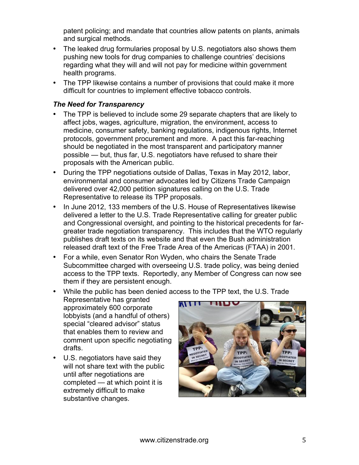patent policing; and mandate that countries allow patents on plants, animals and surgical methods.

- The leaked drug formularies proposal by U.S. negotiators also shows them pushing new tools for drug companies to challenge countries' decisions regarding what they will and will not pay for medicine within government health programs.
- The TPP likewise contains a number of provisions that could make it more difficult for countries to implement effective tobacco controls.

#### *The Need for Transparency*

- The TPP is believed to include some 29 separate chapters that are likely to affect jobs, wages, agriculture, migration, the environment, access to medicine, consumer safety, banking regulations, indigenous rights, Internet protocols, government procurement and more. A pact this far-reaching should be negotiated in the most transparent and participatory manner possible — but, thus far, U.S. negotiators have refused to share their proposals with the American public.
- During the TPP negotiations outside of Dallas, Texas in May 2012, labor, environmental and consumer advocates led by Citizens Trade Campaign delivered over 42,000 petition signatures calling on the U.S. Trade Representative to release its TPP proposals.
- In June 2012, 133 members of the U.S. House of Representatives likewise delivered a letter to the U.S. Trade Representative calling for greater public and Congressional oversight, and pointing to the historical precedents for fargreater trade negotiation transparency. This includes that the WTO regularly publishes draft texts on its website and that even the Bush administration released draft text of the Free Trade Area of the Americas (FTAA) in 2001.
- For a while, even Senator Ron Wyden, who chairs the Senate Trade Subcommittee charged with overseeing U.S. trade policy, was being denied access to the TPP texts. Reportedly, any Member of Congress can now see them if they are persistent enough.

#### • While the public has been denied access to the TPP text, the U.S. Trade

- Representative has granted approximately 600 corporate lobbyists (and a handful of others) special "cleared advisor" status that enables them to review and comment upon specific negotiating drafts.
- U.S. negotiators have said they will not share text with the public until after negotiations are completed — at which point it is extremely difficult to make substantive changes.

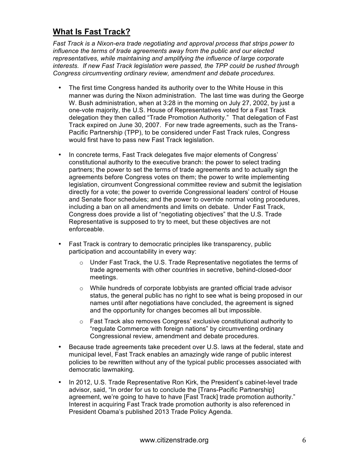### **What Is Fast Track?**

*Fast Track is a Nixon-era trade negotiating and approval process that strips power to influence the terms of trade agreements away from the public and our elected representatives, while maintaining and amplifying the influence of large corporate interests. If new Fast Track legislation were passed, the TPP could be rushed through Congress circumventing ordinary review, amendment and debate procedures.* 

- The first time Congress handed its authority over to the White House in this manner was during the Nixon administration. The last time was during the George W. Bush administration, when at 3:28 in the morning on July 27, 2002, by just a one-vote majority, the U.S. House of Representatives voted for a Fast Track delegation they then called "Trade Promotion Authority." That delegation of Fast Track expired on June 30, 2007. For new trade agreements, such as the Trans-Pacific Partnership (TPP), to be considered under Fast Track rules, Congress would first have to pass new Fast Track legislation.
- In concrete terms, Fast Track delegates five major elements of Congress' constitutional authority to the executive branch: the power to select trading partners; the power to set the terms of trade agreements and to actually sign the agreements before Congress votes on them; the power to write implementing legislation, circumvent Congressional committee review and submit the legislation directly for a vote; the power to override Congressional leaders' control of House and Senate floor schedules; and the power to override normal voting procedures, including a ban on all amendments and limits on debate. Under Fast Track, Congress does provide a list of "negotiating objectives" that the U.S. Trade Representative is supposed to try to meet, but these objectives are not enforceable.
- Fast Track is contrary to democratic principles like transparency, public participation and accountability in every way:
	- $\circ$  Under Fast Track, the U.S. Trade Representative negotiates the terms of trade agreements with other countries in secretive, behind-closed-door meetings.
	- $\circ$  While hundreds of corporate lobbyists are granted official trade advisor status, the general public has no right to see what is being proposed in our names until after negotiations have concluded, the agreement is signed and the opportunity for changes becomes all but impossible.
	- o Fast Track also removes Congress' exclusive constitutional authority to "regulate Commerce with foreign nations" by circumventing ordinary Congressional review, amendment and debate procedures.
- Because trade agreements take precedent over U.S. laws at the federal, state and municipal level, Fast Track enables an amazingly wide range of public interest policies to be rewritten without any of the typical public processes associated with democratic lawmaking.
- In 2012, U.S. Trade Representative Ron Kirk, the President's cabinet-level trade advisor, said, "In order for us to conclude the [Trans-Pacific Partnership] agreement, we're going to have to have [Fast Track] trade promotion authority." Interest in acquiring Fast Track trade promotion authority is also referenced in President Obama's published 2013 Trade Policy Agenda.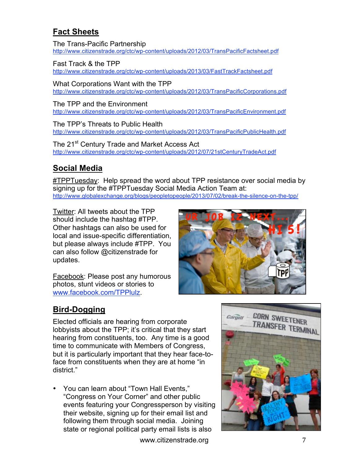# **Fact Sheets**

The Trans-Pacific Partnership http://www.citizenstrade.org/ctc/wp-content/uploads/2012/03/TransPacificFactsheet.pdf

#### Fast Track & the TPP

http://www.citizenstrade.org/ctc/wp-content/uploads/2013/03/FastTrackFactsheet.pdf

What Corporations Want with the TPP http://www.citizenstrade.org/ctc/wp-content/uploads/2012/03/TransPacificCorporations.pdf

#### The TPP and the Environment

http://www.citizenstrade.org/ctc/wp-content/uploads/2012/03/TransPacificEnvironment.pdf

The TPP's Threats to Public Health http://www.citizenstrade.org/ctc/wp-content/uploads/2012/03/TransPacificPublicHealth.pdf

The 21<sup>st</sup> Century Trade and Market Access Act http://www.citizenstrade.org/ctc/wp-content/uploads/2012/07/21stCenturyTradeAct.pdf

## **Social Media**

#TPPTuesday: Help spread the word about TPP resistance over social media by signing up for the #TPPTuesday Social Media Action Team at: http://www.globalexchange.org/blogs/peopletopeople/2013/07/02/break-the-silence-on-the-tpp/

Twitter: All tweets about the TPP should include the hashtag #TPP. Other hashtags can also be used for local and issue-specific differentiation, but please always include #TPP. You can also follow @citizenstrade for updates.

Facebook: Please post any humorous photos, stunt videos or stories to www.facebook.com/TPPlulz.



# **Bird-Dogging**

Elected officials are hearing from corporate lobbyists about the TPP; it's critical that they start hearing from constituents, too. Any time is a good time to communicate with Members of Congress, but it is particularly important that they hear face-toface from constituents when they are at home "in district."

• You can learn about "Town Hall Events," "Congress on Your Corner" and other public events featuring your Congressperson by visiting their website, signing up for their email list and following them through social media. Joining state or regional political party email lists is also

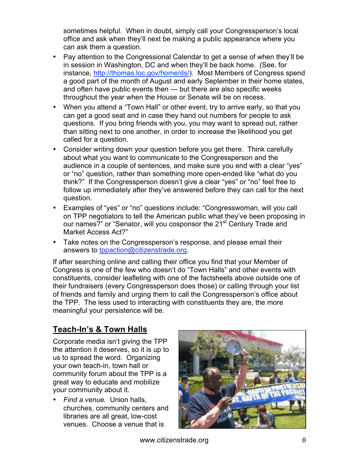sometimes helpful. When in doubt, simply call your Congressperson's local office and ask when they'll next be making a public appearance where you can ask them a question.

- Pay attention to the Congressional Calendar to get a sense of when they'll be in session in Washington, DC and when they'll be back home. (See, for instance, http://thomas.loc.gov/home/ds/). Most Members of Congress spend a good part of the month of August and early September in their home states, and often have public events then — but there are also specific weeks throughout the year when the House or Senate will be on recess.
- When you attend a "Town Hall" or other event, try to arrive early, so that you can get a good seat and in case they hand out numbers for people to ask questions. If you bring friends with you, you may want to spread out, rather than sitting next to one another, in order to increase the likelihood you get called for a question.
- Consider writing down your question before you get there. Think carefully about what you want to communicate to the Congressperson and the audience in a couple of sentences, and make sure you end with a clear "yes" or "no" question, rather than something more open-ended like "what do you think?" If the Congressperson doesn't give a clear "yes" or "no" feel free to follow up immediately after they've answered before they can call for the next question.
- Examples of "yes" or "no" questions include: "Congresswoman, will you call on TPP negotiators to tell the American public what they've been proposing in our names?" or "Senator, will you cosponsor the 21<sup>st</sup> Century Trade and Market Access Act?"
- Take notes on the Congressperson's response, and please email their answers to tppaction@citizenstrade.org.

If after searching online and calling their office you find that your Member of Congress is one of the few who doesn't do "Town Halls" and other events with constituents, consider leafleting with one of the factsheets above outside one of their fundraisers (every Congressperson does those) or calling through your list of friends and family and urging them to call the Congressperson's office about the TPP. The less used to interacting with constituents they are, the more meaningful your persistence will be.

# **Teach-In's & Town Halls**

Corporate media isn't giving the TPP the attention it deserves, so it is up to us to spread the word. Organizing your own teach-in, town hall or community forum about the TPP is a great way to educate and mobilize your community about it.

• *Find a venue.* Union halls, churches, community centers and libraries are all great, low-cost venues. Choose a venue that is

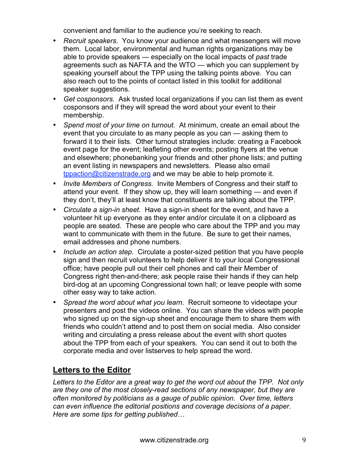convenient and familiar to the audience you're seeking to reach.

- *Recruit speakers.* You know your audience and what messengers will move them. Local labor, environmental and human rights organizations may be able to provide speakers — especially on the local impacts of *past* trade agreements such as NAFTA and the WTO — which you can supplement by speaking yourself about the TPP using the talking points above. You can also reach out to the points of contact listed in this toolkit for additional speaker suggestions.
- *Get cosponsors.* Ask trusted local organizations if you can list them as event cosponsors and if they will spread the word about your event to their membership.
- *Spend most of your time on turnout.* At minimum, create an email about the event that you circulate to as many people as you can — asking them to forward it to their lists. Other turnout strategies include: creating a Facebook event page for the event; leafleting other events; posting flyers at the venue and elsewhere; phonebanking your friends and other phone lists; and putting an event listing in newspapers and newsletters. Please also email tppaction@citizenstrade.org and we may be able to help promote it.
- *Invite Members of Congress.* Invite Members of Congress and their staff to attend your event. If they show up, they will learn something — and even if they don't, they'll at least know that constituents are talking about the TPP.
- *Circulate a sign-in sheet.* Have a sign-in sheet for the event, and have a volunteer hit up everyone as they enter and/or circulate it on a clipboard as people are seated. These are people who care about the TPP and you may want to communicate with them in the future. Be sure to get their names, email addresses and phone numbers.
- *Include an action step.* Circulate a poster-sized petition that you have people sign and then recruit volunteers to help deliver it to your local Congressional office; have people pull out their cell phones and call their Member of Congress right then-and-there; ask people raise their hands if they can help bird-dog at an upcoming Congressional town hall; or leave people with some other easy way to take action.
- *Spread the word about what you learn.* Recruit someone to videotape your presenters and post the videos online. You can share the videos with people who signed up on the sign-up sheet and encourage them to share them with friends who couldn't attend and to post them on social media. Also consider writing and circulating a press release about the event with short quotes about the TPP from each of your speakers. You can send it out to both the corporate media and over listserves to help spread the word.

### **Letters to the Editor**

*Letters to the Editor are a great way to get the word out about the TPP. Not only are they one of the most closely-read sections of any newspaper, but they are often monitored by politicians as a gauge of public opinion. Over time, letters can even influence the editorial positions and coverage decisions of a paper. Here are some tips for getting published…*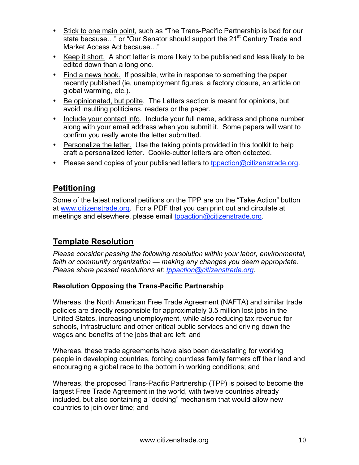- Stick to one main point, such as "The Trans-Pacific Partnership is bad for our state because..." or "Our Senator should support the 21<sup>st</sup> Century Trade and Market Access Act because…"
- Keep it short. A short letter is more likely to be published and less likely to be edited down than a long one.
- Find a news hook. If possible, write in response to something the paper recently published (ie, unemployment figures, a factory closure, an article on global warming, etc.).
- Be opinionated, but polite. The Letters section is meant for opinions, but avoid insulting politicians, readers or the paper.
- Include your contact info. Include your full name, address and phone number along with your email address when you submit it. Some papers will want to confirm you really wrote the letter submitted.
- Personalize the letter. Use the taking points provided in this toolkit to help craft a personalized letter. Cookie-cutter letters are often detected.
- Please send copies of your published letters to tppaction@citizenstrade.org.

### **Petitioning**

Some of the latest national petitions on the TPP are on the "Take Action" button at www.citizenstrade.org. For a PDF that you can print out and circulate at meetings and elsewhere, please email tppaction@citizenstrade.org.

### **Template Resolution**

*Please consider passing the following resolution within your labor, environmental, faith or community organization — making any changes you deem appropriate. Please share passed resolutions at: tppaction@citizenstrade.org.* 

#### **Resolution Opposing the Trans-Pacific Partnership**

Whereas, the North American Free Trade Agreement (NAFTA) and similar trade policies are directly responsible for approximately 3.5 million lost jobs in the United States, increasing unemployment, while also reducing tax revenue for schools, infrastructure and other critical public services and driving down the wages and benefits of the jobs that are left; and

Whereas, these trade agreements have also been devastating for working people in developing countries, forcing countless family farmers off their land and encouraging a global race to the bottom in working conditions; and

Whereas, the proposed Trans-Pacific Partnership (TPP) is poised to become the largest Free Trade Agreement in the world, with twelve countries already included, but also containing a "docking" mechanism that would allow new countries to join over time; and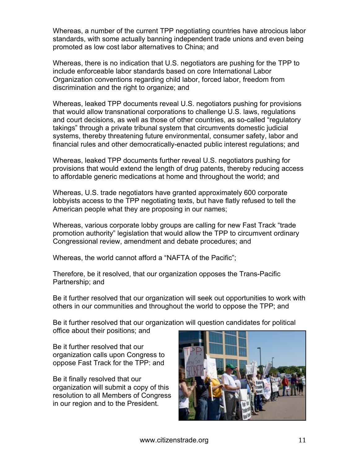Whereas, a number of the current TPP negotiating countries have atrocious labor standards, with some actually banning independent trade unions and even being promoted as low cost labor alternatives to China; and

Whereas, there is no indication that U.S. negotiators are pushing for the TPP to include enforceable labor standards based on core International Labor Organization conventions regarding child labor, forced labor, freedom from discrimination and the right to organize; and

Whereas, leaked TPP documents reveal U.S. negotiators pushing for provisions that would allow transnational corporations to challenge U.S. laws, regulations and court decisions, as well as those of other countries, as so-called "regulatory takings" through a private tribunal system that circumvents domestic judicial systems, thereby threatening future environmental, consumer safety, labor and financial rules and other democratically-enacted public interest regulations; and

Whereas, leaked TPP documents further reveal U.S. negotiators pushing for provisions that would extend the length of drug patents, thereby reducing access to affordable generic medications at home and throughout the world; and

Whereas, U.S. trade negotiators have granted approximately 600 corporate lobbyists access to the TPP negotiating texts, but have flatly refused to tell the American people what they are proposing in our names;

Whereas, various corporate lobby groups are calling for new Fast Track "trade promotion authority" legislation that would allow the TPP to circumvent ordinary Congressional review, amendment and debate procedures; and

Whereas, the world cannot afford a "NAFTA of the Pacific";

Therefore, be it resolved, that our organization opposes the Trans-Pacific Partnership; and

Be it further resolved that our organization will seek out opportunities to work with others in our communities and throughout the world to oppose the TPP; and

Be it further resolved that our organization will question candidates for political office about their positions; and

Be it further resolved that our organization calls upon Congress to oppose Fast Track for the TPP: and

Be it finally resolved that our organization will submit a copy of this resolution to all Members of Congress in our region and to the President.